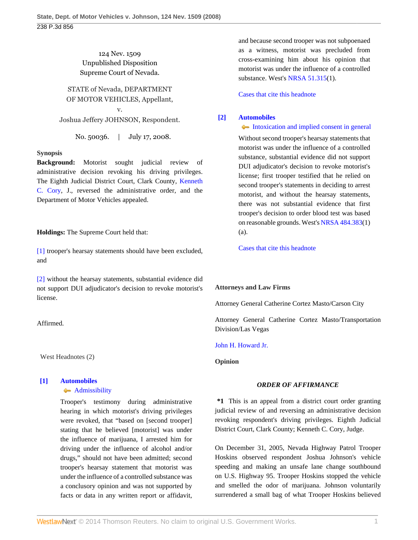### 124 Nev. 1509 Unpublished Disposition Supreme Court of Nevada.

# STATE of Nevada, DEPARTMENT OF MOTOR VEHICLES, Appellant,

v. Joshua Jeffery JOHNSON, Respondent.

No. 50036. | July 17, 2008.

#### **Synopsis**

**Background:** Motorist sought judicial review of administrative decision revoking his driving privileges. The Eighth Judicial District Court, Clark County, [Kenneth](http://www.westlaw.com/Link/Document/FullText?findType=h&pubNum=176284&cite=0278913001&originatingDoc=I07d526a340c811de8bf6cd8525c41437&refType=RQ&originationContext=document&vr=3.0&rs=cblt1.0&transitionType=DocumentItem&contextData=(sc.Search)) [C. Cory](http://www.westlaw.com/Link/Document/FullText?findType=h&pubNum=176284&cite=0278913001&originatingDoc=I07d526a340c811de8bf6cd8525c41437&refType=RQ&originationContext=document&vr=3.0&rs=cblt1.0&transitionType=DocumentItem&contextData=(sc.Search)), J., reversed the administrative order, and the Department of Motor Vehicles appealed.

**Holdings:** The Supreme Court held that:

[\[1\]](#page-0-0) trooper's hearsay statements should have been excluded, and

[\[2\]](#page-0-1) without the hearsay statements, substantial evidence did not support DUI adjudicator's decision to revoke motorist's license.

Affirmed.

West Headnotes (2)

## <span id="page-0-0"></span>**[\[1\]](#page-1-0) [Automobiles](http://www.westlaw.com/Browse/Home/KeyNumber/48A/View.html?docGuid=I07d526a340c811de8bf6cd8525c41437&originationContext=document&vr=3.0&rs=cblt1.0&transitionType=DocumentItem&contextData=(sc.Search))**

**[Admissibility](http://www.westlaw.com/Browse/Home/KeyNumber/48Ak144.2(9.7)/View.html?docGuid=I07d526a340c811de8bf6cd8525c41437&originationContext=document&vr=3.0&rs=cblt1.0&transitionType=DocumentItem&contextData=(sc.Search))** 

Trooper's testimony during administrative hearing in which motorist's driving privileges were revoked, that "based on [second trooper] stating that he believed [motorist] was under the influence of marijuana, I arrested him for driving under the influence of alcohol and/or drugs," should not have been admitted; second trooper's hearsay statement that motorist was under the influence of a controlled substance was a conclusory opinion and was not supported by facts or data in any written report or affidavit,

and because second trooper was not subpoenaed as a witness, motorist was precluded from cross-examining him about his opinion that motorist was under the influence of a controlled substance. West's [NRSA 51.315\(](http://www.westlaw.com/Link/Document/FullText?findType=L&pubNum=1000363&cite=NVST51.315&originatingDoc=I07d526a340c811de8bf6cd8525c41437&refType=LQ&originationContext=document&vr=3.0&rs=cblt1.0&transitionType=DocumentItem&contextData=(sc.Search))1).

[Cases that cite this headnote](http://www.westlaw.com/Link/RelatedInformation/DocHeadnoteLink?docGuid=I07d526a340c811de8bf6cd8525c41437&headnoteId=201883202800120101016092807&originationContext=document&vr=3.0&rs=cblt1.0&transitionType=CitingReferences&contextData=(sc.Search))

### <span id="page-0-1"></span>**[\[2\]](#page-2-0) [Automobiles](http://www.westlaw.com/Browse/Home/KeyNumber/48A/View.html?docGuid=I07d526a340c811de8bf6cd8525c41437&originationContext=document&vr=3.0&rs=cblt1.0&transitionType=DocumentItem&contextData=(sc.Search))**

[Intoxication and implied consent in general](http://www.westlaw.com/Browse/Home/KeyNumber/48Ak144.2(10.2)/View.html?docGuid=I07d526a340c811de8bf6cd8525c41437&originationContext=document&vr=3.0&rs=cblt1.0&transitionType=DocumentItem&contextData=(sc.Search)) Without second trooper's hearsay statements that motorist was under the influence of a controlled substance, substantial evidence did not support DUI adjudicator's decision to revoke motorist's license; first trooper testified that he relied on second trooper's statements in deciding to arrest motorist, and without the hearsay statements, there was not substantial evidence that first trooper's decision to order blood test was based on reasonable grounds. West's [NRSA 484.383\(](http://www.westlaw.com/Link/Document/FullText?findType=L&pubNum=1000363&cite=NVST484.383&originatingDoc=I07d526a340c811de8bf6cd8525c41437&refType=LQ&originationContext=document&vr=3.0&rs=cblt1.0&transitionType=DocumentItem&contextData=(sc.Search))1) (a).

[Cases that cite this headnote](http://www.westlaw.com/Link/RelatedInformation/DocHeadnoteLink?docGuid=I07d526a340c811de8bf6cd8525c41437&headnoteId=201883202800220101016092807&originationContext=document&vr=3.0&rs=cblt1.0&transitionType=CitingReferences&contextData=(sc.Search))

#### **Attorneys and Law Firms**

Attorney General Catherine Cortez Masto/Carson City

Attorney General Catherine Cortez Masto/Transportation Division/Las Vegas

#### [John H. Howard Jr.](http://www.westlaw.com/Link/Document/FullText?findType=h&pubNum=176284&cite=0283959401&originatingDoc=I07d526a340c811de8bf6cd8525c41437&refType=RQ&originationContext=document&vr=3.0&rs=cblt1.0&transitionType=DocumentItem&contextData=(sc.Search))

**Opinion**

#### *ORDER OF AFFIRMANCE*

**\*1** This is an appeal from a district court order granting judicial review of and reversing an administrative decision revoking respondent's driving privileges. Eighth Judicial District Court, Clark County; Kenneth C. Cory, Judge.

On December 31, 2005, Nevada Highway Patrol Trooper Hoskins observed respondent Joshua Johnson's vehicle speeding and making an unsafe lane change southbound on U.S. Highway 95. Trooper Hoskins stopped the vehicle and smelled the odor of marijuana. Johnson voluntarily surrendered a small bag of what Trooper Hoskins believed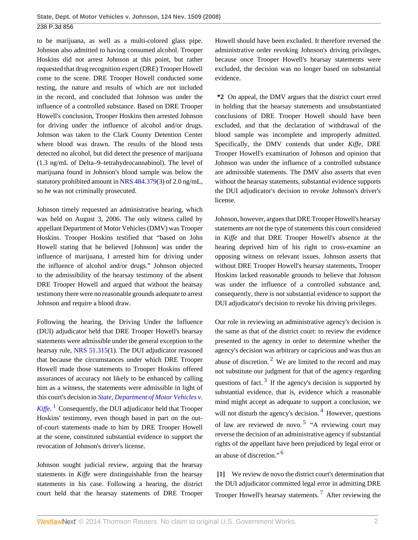to be marijuana, as well as a multi-colored glass pipe. Johnson also admitted to having consumed alcohol. Trooper Hoskins did not arrest Johnson at this point, but rather requested that drug recognition expert (DRE) Trooper Howell come to the scene. DRE Trooper Howell conducted some testing, the nature and results of which are not included in the record, and concluded that Johnson was under the influence of a controlled substance. Based on DRE Trooper Howell's conclusion, Trooper Hoskins then arrested Johnson for driving under the influence of alcohol and/or drugs. Johnson was taken to the Clark County Detention Center where blood was drawn. The results of the blood tests detected no alcohol, but did detect the presence of marijuana (1.3 ng/mL of Delta–9–tetrahydrocannabinol). The level of marijuana found in Johnson's blood sample was below the statutory prohibited amount in [NRS 484.379\(](http://www.westlaw.com/Link/Document/FullText?findType=L&pubNum=1000363&cite=NVST484.379&originatingDoc=I07d526a340c811de8bf6cd8525c41437&refType=LQ&originationContext=document&vr=3.0&rs=cblt1.0&transitionType=DocumentItem&contextData=(sc.Search))3) of 2.0 ng/mL, so he was not criminally prosecuted.

Johnson timely requested an administrative hearing, which was held on August 3, 2006. The only witness called by appellant Department of Motor Vehicles (DMV) was Trooper Hoskins. Trooper Hoskins testified that "based on John Howell stating that he believed [Johnson] was under the influence of marijuana, I arrested him for driving under the influence of alcohol and/or drugs." Johnson objected to the admissibility of the hearsay testimony of the absent DRE Trooper Howell and argued that without the hearsay testimony there were no reasonable grounds adequate to arrest Johnson and require a blood draw.

Following the hearing, the Driving Under the Influence (DUI) adjudicator held that DRE Trooper Howell's hearsay statements were admissible under the general exception to the hearsay rule, [NRS 51.315\(](http://www.westlaw.com/Link/Document/FullText?findType=L&pubNum=1000363&cite=NVST51.315&originatingDoc=I07d526a340c811de8bf6cd8525c41437&refType=LQ&originationContext=document&vr=3.0&rs=cblt1.0&transitionType=DocumentItem&contextData=(sc.Search))1). The DUI adjudicator reasoned that because the circumstances under which DRE Trooper Howell made those statements to Trooper Hoskins offered assurances of accuracy not likely to be enhanced by calling him as a witness, the statements were admissible in light of this court's decision in *[State, Department of Motor Vehicles v.](http://www.westlaw.com/Link/Document/FullText?findType=Y&serNum=1985160997&originationContext=document&vr=3.0&rs=cblt1.0&transitionType=DocumentItem&contextData=(sc.Search)) [Kiffe.](http://www.westlaw.com/Link/Document/FullText?findType=Y&serNum=1985160997&originationContext=document&vr=3.0&rs=cblt1.0&transitionType=DocumentItem&contextData=(sc.Search))* [1](#page-3-0) Consequently, the DUI adjudicator held that Trooper Hoskins' testimony, even though based in part on the outof-court statements made to him by DRE Trooper Howell at the scene, constituted substantial evidence to support the revocation of Johnson's driver's license.

<span id="page-1-1"></span>Johnson sought judicial review, arguing that the hearsay statements in *Kiffe* were distinguishable from the hearsay statements in his case. Following a hearing, the district court held that the hearsay statements of DRE Trooper Howell should have been excluded. It therefore reversed the administrative order revoking Johnson's driving privileges, because once Trooper Howell's hearsay statements were excluded, the decision was no longer based on substantial evidence.

**\*2** On appeal, the DMV argues that the district court erred in holding that the hearsay statements and unsubstantiated conclusions of DRE Trooper Howell should have been excluded, and that the declaration of withdrawal of the blood sample was incomplete and improperly admitted. Specifically, the DMV contends that under *Kiffe,* DRE Trooper Howell's examination of Johnson and opinion that Johnson was under the influence of a controlled substance are admissible statements. The DMV also asserts that even without the hearsay statements, substantial evidence supports the DUI adjudicator's decision to revoke Johnson's driver's license.

Johnson, however, argues that DRE Trooper Howell's hearsay statements are not the type of statements this court considered in *Kiffe* and that DRE Trooper Howell's absence at the hearing deprived him of his right to cross-examine an opposing witness on relevant issues. Johnson asserts that without DRE Trooper Howell's hearsay statements, Trooper Hoskins lacked reasonable grounds to believe that Johnson was under the influence of a controlled substance and, consequently, there is not substantial evidence to support the DUI adjudicator's decision to revoke his driving privileges.

<span id="page-1-3"></span><span id="page-1-2"></span>Our role in reviewing an administrative agency's decision is the same as that of the district court: to review the evidence presented to the agency in order to determine whether the agency's decision was arbitrary or capricious and was thus an abuse of discretion.<sup>[2](#page-3-1)</sup> We are limited to the record and may not substitute our judgment for that of the agency regarding questions of fact.  $3 \text{ If the agency's decision is supported by }$  $3 \text{ If the agency's decision is supported by }$ substantial evidence, that is, evidence which a reasonable mind might accept as adequate to support a conclusion, we will not disturb the agency's decision.<sup>[4](#page-3-3)</sup> However, questions of law are reviewed de novo.<sup>[5](#page-3-4)</sup> "A reviewing court may reverse the decision of an administrative agency if substantial rights of the appellant have been prejudiced by legal error or an abuse of discretion." [6](#page-3-5)

<span id="page-1-7"></span><span id="page-1-6"></span><span id="page-1-5"></span><span id="page-1-4"></span><span id="page-1-0"></span>**[\[1\]](#page-0-0)** We review de novo the district court's determination that the DUI adjudicator committed legal error in admitting DRE Trooper Howell's hearsay statements.<sup>[7](#page-3-6)</sup> After reviewing the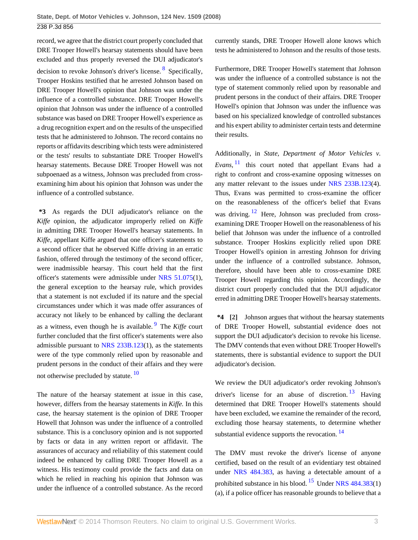record, we agree that the district court properly concluded that DRE Trooper Howell's hearsay statements should have been excluded and thus properly reversed the DUI adjudicator's decision to revoke Johnson's driver's license. <sup>[8](#page-3-7)</sup> Specifically, Trooper Hoskins testified that he arrested Johnson based on DRE Trooper Howell's opinion that Johnson was under the influence of a controlled substance. DRE Trooper Howell's opinion that Johnson was under the influence of a controlled substance was based on DRE Trooper Howell's experience as a drug recognition expert and on the results of the unspecified tests that he administered to Johnson. The record contains no reports or affidavits describing which tests were administered or the tests' results to substantiate DRE Trooper Howell's hearsay statements. Because DRE Trooper Howell was not subpoenaed as a witness, Johnson was precluded from crossexamining him about his opinion that Johnson was under the influence of a controlled substance.

**\*3** As regards the DUI adjudicator's reliance on the *Kiffe* opinion, the adjudicator improperly relied on *Kiffe* in admitting DRE Trooper Howell's hearsay statements. In *Kiffe,* appellant Kiffe argued that one officer's statements to a second officer that he observed Kiffe driving in an erratic fashion, offered through the testimony of the second officer, were inadmissible hearsay. This court held that the first officer's statements were admissible under [NRS 51.075\(](http://www.westlaw.com/Link/Document/FullText?findType=L&pubNum=1000363&cite=NVST51.075&originatingDoc=I07d526a340c811de8bf6cd8525c41437&refType=LQ&originationContext=document&vr=3.0&rs=cblt1.0&transitionType=DocumentItem&contextData=(sc.Search))1), the general exception to the hearsay rule, which provides that a statement is not excluded if its nature and the special circumstances under which it was made offer assurances of accuracy not likely to be enhanced by calling the declarant as a witness, even though he is available. [9](#page-3-8) The *Kiffe* court further concluded that the first officer's statements were also admissible pursuant to [NRS 233B.123](http://www.westlaw.com/Link/Document/FullText?findType=L&pubNum=1000363&cite=NVST233B.123&originatingDoc=I07d526a340c811de8bf6cd8525c41437&refType=LQ&originationContext=document&vr=3.0&rs=cblt1.0&transitionType=DocumentItem&contextData=(sc.Search))(1), as the statements were of the type commonly relied upon by reasonable and prudent persons in the conduct of their affairs and they were not otherwise precluded by statute.<sup>[10](#page-3-9)</sup>

The nature of the hearsay statement at issue in this case, however, differs from the hearsay statements in *Kiffe.* In this case, the hearsay statement is the opinion of DRE Trooper Howell that Johnson was under the influence of a controlled substance. This is a conclusory opinion and is not supported by facts or data in any written report or affidavit. The assurances of accuracy and reliability of this statement could indeed be enhanced by calling DRE Trooper Howell as a witness. His testimony could provide the facts and data on which he relied in reaching his opinion that Johnson was under the influence of a controlled substance. As the record

currently stands, DRE Trooper Howell alone knows which tests he administered to Johnson and the results of those tests.

<span id="page-2-1"></span>Furthermore, DRE Trooper Howell's statement that Johnson was under the influence of a controlled substance is not the type of statement commonly relied upon by reasonable and prudent persons in the conduct of their affairs. DRE Trooper Howell's opinion that Johnson was under the influence was based on his specialized knowledge of controlled substances and his expert ability to administer certain tests and determine their results.

<span id="page-2-5"></span><span id="page-2-4"></span>Additionally, in *State, Department of Motor Vehicles v. Evans,* [11](#page-3-10) this court noted that appellant Evans had a right to confront and cross-examine opposing witnesses on any matter relevant to the issues under [NRS 233B.123\(](http://www.westlaw.com/Link/Document/FullText?findType=L&pubNum=1000363&cite=NVST233B.123&originatingDoc=I07d526a340c811de8bf6cd8525c41437&refType=LQ&originationContext=document&vr=3.0&rs=cblt1.0&transitionType=DocumentItem&contextData=(sc.Search))4). Thus, Evans was permitted to cross-examine the officer on the reasonableness of the officer's belief that Evans was driving.  $12$  Here, Johnson was precluded from crossexamining DRE Trooper Howell on the reasonableness of his belief that Johnson was under the influence of a controlled substance. Trooper Hoskins explicitly relied upon DRE Trooper Howell's opinion in arresting Johnson for driving under the influence of a controlled substance. Johnson, therefore, should have been able to cross-examine DRE Trooper Howell regarding this opinion. Accordingly, the district court properly concluded that the DUI adjudicator erred in admitting DRE Trooper Howell's hearsay statements.

<span id="page-2-2"></span><span id="page-2-0"></span>**\*4 [\[2\]](#page-0-1)** Johnson argues that without the hearsay statements of DRE Trooper Howell, substantial evidence does not support the DUI adjudicator's decision to revoke his license. The DMV contends that even without DRE Trooper Howell's statements, there is substantial evidence to support the DUI adjudicator's decision.

<span id="page-2-6"></span><span id="page-2-3"></span>We review the DUI adjudicator's order revoking Johnson's driver's license for an abuse of discretion.  $13$  Having determined that DRE Trooper Howell's statements should have been excluded, we examine the remainder of the record, excluding those hearsay statements, to determine whether substantial evidence supports the revocation.<sup>[14](#page-3-13)</sup>

<span id="page-2-8"></span><span id="page-2-7"></span>The DMV must revoke the driver's license of anyone certified, based on the result of an evidentiary test obtained under [NRS 484.383](http://www.westlaw.com/Link/Document/FullText?findType=L&pubNum=1000363&cite=NVST484.383&originatingDoc=I07d526a340c811de8bf6cd8525c41437&refType=LQ&originationContext=document&vr=3.0&rs=cblt1.0&transitionType=DocumentItem&contextData=(sc.Search)), as having a detectable amount of a prohibited substance in his blood. <sup>[15](#page-3-14)</sup> Under NRS  $484.383(1)$ (a), if a police officer has reasonable grounds to believe that a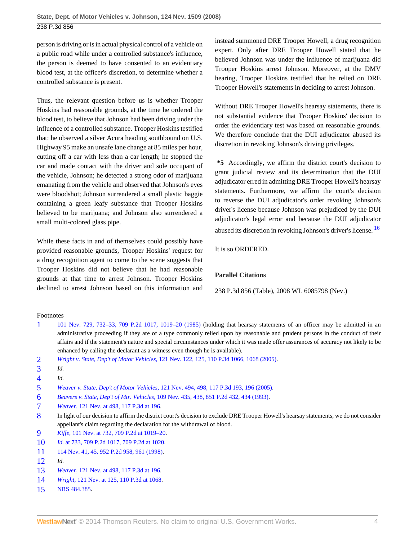person is driving or is in actual physical control of a vehicle on a public road while under a controlled substance's influence, the person is deemed to have consented to an evidentiary blood test, at the officer's discretion, to determine whether a controlled substance is present.

Thus, the relevant question before us is whether Trooper Hoskins had reasonable grounds, at the time he ordered the blood test, to believe that Johnson had been driving under the influence of a controlled substance. Trooper Hoskins testified that: he observed a silver Acura heading southbound on U.S. Highway 95 make an unsafe lane change at 85 miles per hour, cutting off a car with less than a car length; he stopped the car and made contact with the driver and sole occupant of the vehicle, Johnson; he detected a strong odor of marijuana emanating from the vehicle and observed that Johnson's eyes were bloodshot; Johnson surrendered a small plastic baggie containing a green leafy substance that Trooper Hoskins believed to be marijuana; and Johnson also surrendered a small multi-colored glass pipe.

While these facts in and of themselves could possibly have provided reasonable grounds, Trooper Hoskins' request for a drug recognition agent to come to the scene suggests that Trooper Hoskins did not believe that he had reasonable grounds at that time to arrest Johnson. Trooper Hoskins declined to arrest Johnson based on this information and instead summoned DRE Trooper Howell, a drug recognition expert. Only after DRE Trooper Howell stated that he believed Johnson was under the influence of marijuana did Trooper Hoskins arrest Johnson. Moreover, at the DMV hearing, Trooper Hoskins testified that he relied on DRE Trooper Howell's statements in deciding to arrest Johnson.

Without DRE Trooper Howell's hearsay statements, there is not substantial evidence that Trooper Hoskins' decision to order the evidentiary test was based on reasonable grounds. We therefore conclude that the DUI adjudicator abused its discretion in revoking Johnson's driving privileges.

**\*5** Accordingly, we affirm the district court's decision to grant judicial review and its determination that the DUI adjudicator erred in admitting DRE Trooper Howell's hearsay statements. Furthermore, we affirm the court's decision to reverse the DUI adjudicator's order revoking Johnson's driver's license because Johnson was prejudiced by the DUI adjudicator's legal error and because the DUI adjudicator abused its discretion in revoking Johnson's driver's license. [16](#page-4-0)

<span id="page-3-15"></span>It is so ORDERED.

#### **Parallel Citations**

238 P.3d 856 (Table), 2008 WL 6085798 (Nev.)

#### Footnotes

- <span id="page-3-0"></span>[1](#page-1-1) [101 Nev. 729, 732–33, 709 P.2d 1017, 1019–20 \(1985\)](http://www.westlaw.com/Link/Document/FullText?findType=Y&serNum=1985160997&pubNum=661&originationContext=document&vr=3.0&rs=cblt1.0&transitionType=DocumentItem&contextData=(sc.Search)#co_pp_sp_661_1019) (holding that hearsay statements of an officer may be admitted in an administrative proceeding if they are of a type commonly relied upon by reasonable and prudent persons in the conduct of their affairs and if the statement's nature and special circumstances under which it was made offer assurances of accuracy not likely to be enhanced by calling the declarant as a witness even though he is available).
- <span id="page-3-1"></span>[2](#page-1-2) *Wright v. State, Dep't of Motor Vehicles,* [121 Nev. 122, 125, 110 P.3d 1066, 1068 \(2005\)](http://www.westlaw.com/Link/Document/FullText?findType=Y&serNum=2006588474&pubNum=4645&originationContext=document&vr=3.0&rs=cblt1.0&transitionType=DocumentItem&contextData=(sc.Search)#co_pp_sp_4645_1068).
- <span id="page-3-2"></span>[3](#page-1-3) *Id.*
- <span id="page-3-3"></span>[4](#page-1-4) *Id.*
- <span id="page-3-4"></span>[5](#page-1-5) *Weaver v. State, Dep't of Motor Vehicles,* [121 Nev. 494, 498, 117 P.3d 193, 196 \(2005\).](http://www.westlaw.com/Link/Document/FullText?findType=Y&serNum=2007113808&pubNum=4645&originationContext=document&vr=3.0&rs=cblt1.0&transitionType=DocumentItem&contextData=(sc.Search)#co_pp_sp_4645_196)
- <span id="page-3-5"></span>[6](#page-1-6) *Beavers v. State, Dep't of Mtr. Vehicles,* [109 Nev. 435, 438, 851 P.2d 432, 434 \(1993\)](http://www.westlaw.com/Link/Document/FullText?findType=Y&serNum=1993095492&pubNum=661&originationContext=document&vr=3.0&rs=cblt1.0&transitionType=DocumentItem&contextData=(sc.Search)#co_pp_sp_661_434).
- <span id="page-3-6"></span>[7](#page-1-7) *Weaver,* [121 Nev. at 498, 117 P.3d at 196](http://www.westlaw.com/Link/Document/FullText?findType=Y&serNum=2007113808&pubNum=4645&originationContext=document&vr=3.0&rs=cblt1.0&transitionType=DocumentItem&contextData=(sc.Search)#co_pp_sp_4645_196).
- <span id="page-3-7"></span>[8](#page-2-1) In light of our decision to affirm the district court's decision to exclude DRE Trooper Howell's hearsay statements, we do not consider appellant's claim regarding the declaration for the withdrawal of blood.
- <span id="page-3-8"></span>[9](#page-2-2) *Kiffe,* [101 Nev. at 732, 709 P.2d at 1019–20](http://www.westlaw.com/Link/Document/FullText?findType=Y&serNum=1985160997&pubNum=661&originationContext=document&vr=3.0&rs=cblt1.0&transitionType=DocumentItem&contextData=(sc.Search)#co_pp_sp_661_1019).
- <span id="page-3-9"></span>[10](#page-2-3) *Id.* [at 733, 709 P.2d 1017,](http://www.westlaw.com/Link/Document/FullText?findType=Y&serNum=1985160997&pubNum=661&originationContext=document&vr=3.0&rs=cblt1.0&transitionType=DocumentItem&contextData=(sc.Search)) [709 P.2d at 1020.](http://www.westlaw.com/Link/Document/FullText?findType=Y&serNum=1985160997&pubNum=661&originationContext=document&vr=3.0&rs=cblt1.0&transitionType=DocumentItem&contextData=(sc.Search)#co_pp_sp_661_1020)
- <span id="page-3-10"></span>[11](#page-2-4) [114 Nev. 41, 45, 952 P.2d 958, 961 \(1998\)](http://www.westlaw.com/Link/Document/FullText?findType=Y&serNum=1998039219&pubNum=661&originationContext=document&vr=3.0&rs=cblt1.0&transitionType=DocumentItem&contextData=(sc.Search)#co_pp_sp_661_961).
- <span id="page-3-11"></span>[12](#page-2-5) *Id.*
- <span id="page-3-12"></span>[13](#page-2-6) *Weaver,* [121 Nev. at 498, 117 P.3d at 196](http://www.westlaw.com/Link/Document/FullText?findType=Y&serNum=2007113808&pubNum=4645&originationContext=document&vr=3.0&rs=cblt1.0&transitionType=DocumentItem&contextData=(sc.Search)#co_pp_sp_4645_196).
- <span id="page-3-13"></span>[14](#page-2-7) *Wright,* [121 Nev. at 125, 110 P.3d at 1068](http://www.westlaw.com/Link/Document/FullText?findType=Y&serNum=2006588474&pubNum=4645&originationContext=document&vr=3.0&rs=cblt1.0&transitionType=DocumentItem&contextData=(sc.Search)#co_pp_sp_4645_1068).
- <span id="page-3-14"></span>[15](#page-2-8) [NRS 484.385](http://www.westlaw.com/Link/Document/FullText?findType=L&pubNum=1000363&cite=NVST484.385&originatingDoc=I07d526a340c811de8bf6cd8525c41437&refType=LQ&originationContext=document&vr=3.0&rs=cblt1.0&transitionType=DocumentItem&contextData=(sc.Search)).